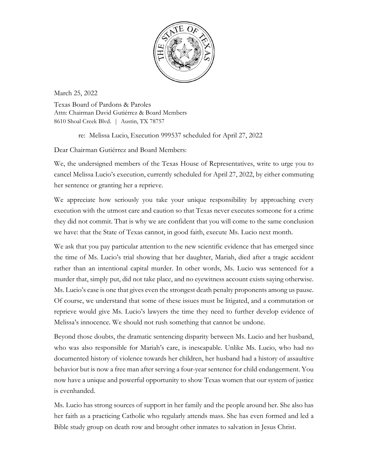

March 25, 2022

Texas Board of Pardons & Paroles Attn: Chairman David Gutiérrez & Board Members 8610 Shoal Creek Blvd. | Austin, TX 78757

re: Melissa Lucio, Execution 999537 scheduled for April 27, 2022

Dear Chairman Gutiérrez and Board Members:

We, the undersigned members of the Texas House of Representatives, write to urge you to cancel Melissa Lucio's execution, currently scheduled for April 27, 2022, by either commuting her sentence or granting her a reprieve.

We appreciate how seriously you take your unique responsibility by approaching every execution with the utmost care and caution so that Texas never executes someone for a crime they did not commit. That is why we are confident that you will come to the same conclusion we have: that the State of Texas cannot, in good faith, execute Ms. Lucio next month.

We ask that you pay particular attention to the new scientific evidence that has emerged since the time of Ms. Lucio's trial showing that her daughter, Mariah, died after a tragic accident rather than an intentional capital murder. In other words, Ms. Lucio was sentenced for a murder that, simply put, did not take place, and no eyewitness account exists saying otherwise. Ms. Lucio's case is one that gives even the strongest death penalty proponents among us pause. Of course, we understand that some of these issues must be litigated, and a commutation or reprieve would give Ms. Lucio's lawyers the time they need to further develop evidence of Melissa's innocence. We should not rush something that cannot be undone.

Beyond those doubts, the dramatic sentencing disparity between Ms. Lucio and her husband, who was also responsible for Mariah's care, is inescapable. Unlike Ms. Lucio, who had no documented history of violence towards her children, her husband had a history of assaultive behavior but is now a free man after serving a four-year sentence for child endangerment. You now have a unique and powerful opportunity to show Texas women that our system of justice is evenhanded.

Ms. Lucio has strong sources of support in her family and the people around her. She also has her faith as a practicing Catholic who regularly attends mass. She has even formed and led a Bible study group on death row and brought other inmates to salvation in Jesus Christ.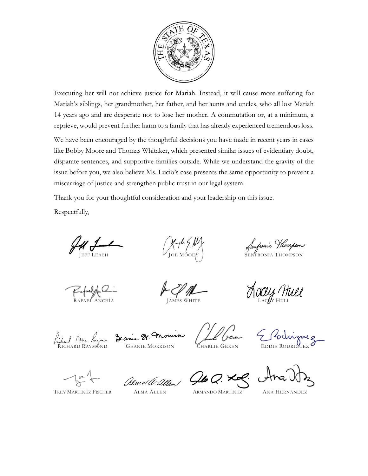

Executing her will not achieve justice for Mariah. Instead, it will cause more suffering for Mariah's siblings, her grandmother, her father, and her aunts and uncles, who all lost Mariah 14 years ago and are desperate not to lose her mother. A commutation or, at a minimum, a reprieve, would prevent further harm to a family that has already experienced tremendous loss.

We have been encouraged by the thoughtful decisions you have made in recent years in cases like Bobby Moore and Thomas Whitaker, which presented similar issues of evidentiary doubt, disparate sentences, and supportive families outside. While we understand the gravity of the issue before you, we also believe Ms. Lucio's case presents the same opportunity to prevent a miscarriage of justice and strengthen public trust in our legal system.

Thank you for your thoughtful consideration and your leadership on this issue.

Respectfully,

Jenfronia Hompson

RAFAEL ANCHÍA JAMES WHITE LACEY HULL

Richard Peña Kayna Deanie 9. Monison

Let beau

E Podriguez

TREY MARTINEZ FISCHER ALMA ALLEN ARMANDO MARTINEZ ANA HERNANDEZ

almos a. allen Q6Q. XS.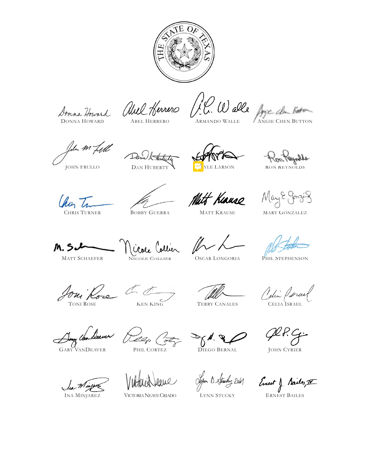

Donna Howard abel Herrero (10. Wall Agric de Boston

John M fill Danwhttphen Contraction Ron Reynolds

Daniel Attachety

Chin In

REG TRE BOBBY GUERRA MATT KRAUSE MARY GONZÁLEZ

M.5. MONTE NON COLLIER MORE LONGORIA PHIL STEPHENSON

Jour Rose (Francis and TERRY CANALES CELIA ISRAEL

Aug Con Deaver Peace Colly DEG BERNAL JOHN CYRIER

Viltaria Sylve Organ D. Struky DVM Einest J. Pailes, TV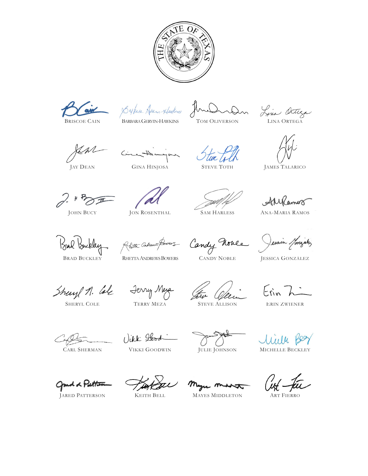

BRISCOE CAIN BARBARA GERVIN-HAWKINS TOM OLIVERSON LINA ORTEGA

Caix Sylve America JunDudin Line Octega

JAY DEAN GINA HINJOSA STEVE TOTH JAMES TALARICO

 $2.800$ 

 $k_{\ell}$ 

Circuttin

AMCamor

JOHN BUCY JON ROSENTHAL SAM HARLESS ANA-MARIA RAMOS

' p

Sul Ponchley Rhott Godews Powers Candy Noble Jessien Jonialez<br>BRAD BUCKLEY RHETTA ANDREWS BOWERS CANDY NOBLE JESSICA GONZÁLEZ Bral Backley

Sheuyl 11. Cale Jerry Mere Gen Clein Erin n

Erin 7

Vikk <del>Ibod</del>

 $\sum_{i=1}^{n}$ 

Ulille Hey

CARL SHERMAN VIKKI GOODWIN JULIE JOHNSON MICHELLE BECKLEY

and a Patter

Testac mayor mast

**JARED PATTERSON KEITH BELL MAYES MIDDLETON**